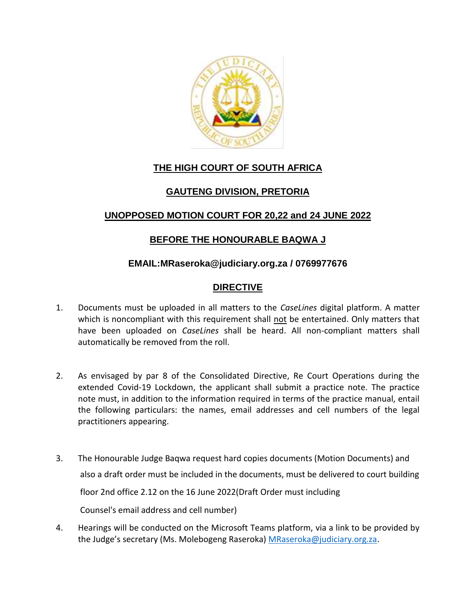

# **THE HIGH COURT OF SOUTH AFRICA**

## **GAUTENG DIVISION, PRETORIA**

## **UNOPPOSED MOTION COURT FOR 20,22 and 24 JUNE 2022**

## **BEFORE THE HONOURABLE BAQWA J**

#### **EMAIL:MRaseroka@judiciary.org.za / 0769977676**

## **DIRECTIVE**

- 1. Documents must be uploaded in all matters to the *CaseLines* digital platform. A matter which is noncompliant with this requirement shall not be entertained. Only matters that have been uploaded on *CaseLines* shall be heard. All non-compliant matters shall automatically be removed from the roll.
- 2. As envisaged by par 8 of the Consolidated Directive, Re Court Operations during the extended Covid-19 Lockdown, the applicant shall submit a practice note. The practice note must, in addition to the information required in terms of the practice manual, entail the following particulars: the names, email addresses and cell numbers of the legal practitioners appearing.
- 3. The Honourable Judge Baqwa request hard copies documents (Motion Documents) and also a draft order must be included in the documents, must be delivered to court building floor 2nd office 2.12 on the 16 June 2022(Draft Order must including Counsel's email address and cell number)
- 4. Hearings will be conducted on the Microsoft Teams platform, via a link to be provided by the Judge's secretary (Ms. Molebogeng Raseroka) [MRaseroka@judiciary.org.za.](mailto:MRaseroka@judiciary.org.za)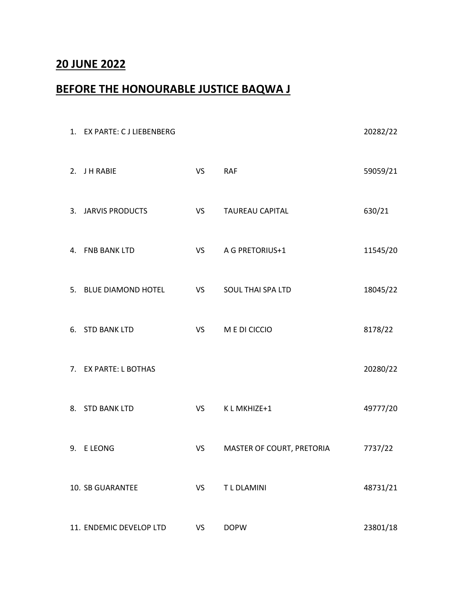# **20 JUNE 2022**

# **BEFORE THE HONOURABLE JUSTICE BAQWA J**

| 1. EX PARTE: C J LIEBENBERG |                 |                           | 20282/22 |
|-----------------------------|-----------------|---------------------------|----------|
| 2. JH RABIE                 | VS <sub>2</sub> | <b>RAF</b>                | 59059/21 |
| 3. JARVIS PRODUCTS          | VS <sub>2</sub> | <b>TAUREAU CAPITAL</b>    | 630/21   |
| 4. FNB BANK LTD             |                 | VS A G PRETORIUS+1        | 11545/20 |
| 5. BLUE DIAMOND HOTEL       | VS <sub>2</sub> | SOUL THAI SPA LTD         | 18045/22 |
| 6. STD BANK LTD             | VS <sub>2</sub> | M E DI CICCIO             | 8178/22  |
| 7. EX PARTE: L BOTHAS       |                 |                           | 20280/22 |
| 8. STD BANK LTD             | VS <sub>2</sub> | K L MKHIZE+1              | 49777/20 |
| 9. ELEONG                   | VS              | MASTER OF COURT, PRETORIA | 7737/22  |
| 10. SB GUARANTEE            | VS              | T L DLAMINI               | 48731/21 |
| 11. ENDEMIC DEVELOP LTD     | VS              | <b>DOPW</b>               | 23801/18 |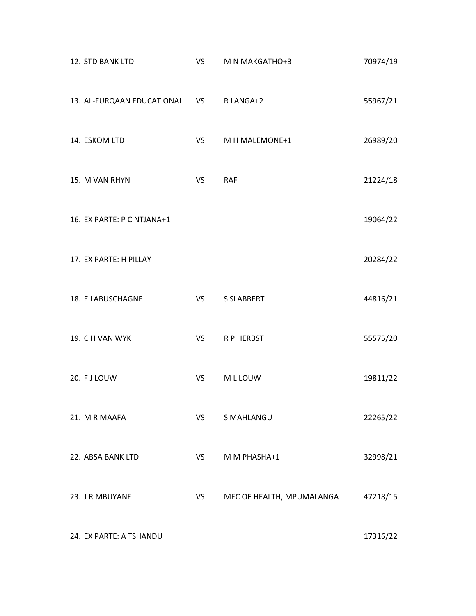| 12. STD BANK LTD              | <b>VS</b>       | M N MAKGATHO+3            | 70974/19 |
|-------------------------------|-----------------|---------------------------|----------|
| 13. AL-FURQAAN EDUCATIONAL VS |                 | R LANGA+2                 | 55967/21 |
| 14. ESKOM LTD                 | VS <sub>2</sub> | M H MALEMONE+1            | 26989/20 |
| 15. M VAN RHYN                | VS              | <b>RAF</b>                | 21224/18 |
| 16. EX PARTE: P C NTJANA+1    |                 |                           | 19064/22 |
| 17. EX PARTE: H PILLAY        |                 |                           | 20284/22 |
| 18. E LABUSCHAGNE             | VS <sub>2</sub> | <b>S SLABBERT</b>         | 44816/21 |
| 19. CH VAN WYK                | VS <sub>2</sub> | R P HERBST                | 55575/20 |
| 20. FJ LOUW                   | VS              | M L LOUW                  | 19811/22 |
| 21. M R MAAFA                 | VS              | <b>S MAHLANGU</b>         | 22265/22 |
| 22. ABSA BANK LTD             | VS              | M M PHASHA+1              | 32998/21 |
| 23. JR MBUYANE                | VS              | MEC OF HEALTH, MPUMALANGA | 47218/15 |
| 24. EX PARTE: A TSHANDU       |                 |                           | 17316/22 |